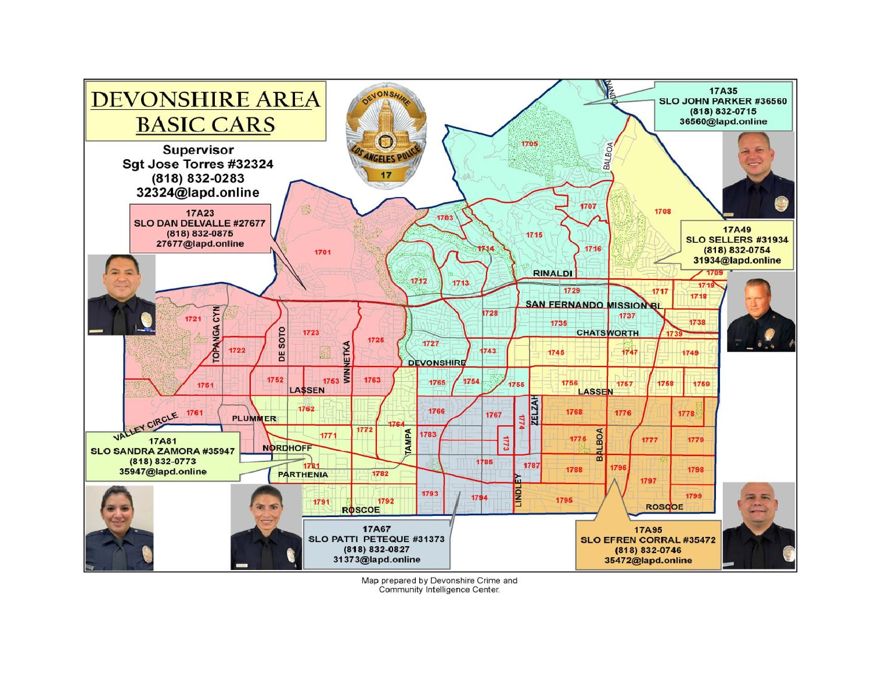

Map prepared by Devonshire Crime and Community Intelligence Center.